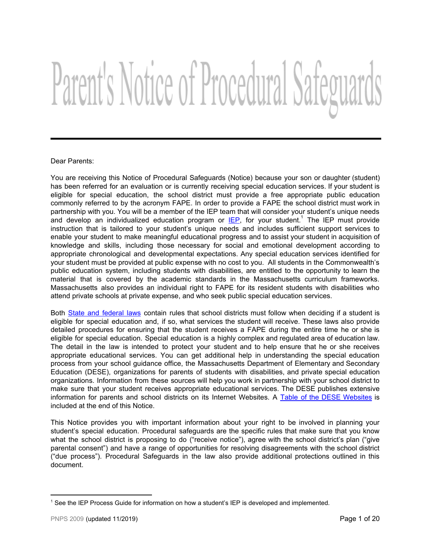# Parent's Notice of Procedural Safeguards

# Dear Parents:

You are receiving this Notice of Procedural Safeguards (Notice) because your son or daughter (student) has been referred for an evaluation or is currently receiving special education services. If your student is eligible for special education, the school district must provide a free appropriate public education commonly referred to by the acronym FAPE. In order to provide a FAPE the school district must work in partnership with you. You will be a member of the IEP team that will consider your student's unique needs and develop an individualized education program or **[IEP](#page-17-0)**, for your student.<sup>1</sup> The IEP must provide instruction that is tailored to your student's unique needs and includes sufficient support services to enable your student to make meaningful educational progress and to assist your student in acquisition of knowledge and skills, including those necessary for social and emotional development according to appropriate chronological and developmental expectations. Any special education services identified for your student must be provided at public expense with no cost to you. All students in the Commonwealth's public education system, including students with disabilities, are entitled to the opportunity to learn the material that is covered by the academic standards in the Massachusetts curriculum frameworks. Massachusetts also provides an individual right to FAPE for its resident students with disabilities who attend private schools at private expense, and who seek public special education services.

Both State and [federal](#page-16-0) laws contain rules that school districts must follow when deciding if a student is eligible for special education and, if so, what services the student will receive. These laws also provide detailed procedures for ensuring that the student receives a FAPE during the entire time he or she is eligible for special education. Special education is a highly complex and regulated area of education law. The detail in the law is intended to protect your student and to help ensure that he or she receives appropriate educational services. You can get additional help in understanding the special education process from your school guidance office, the Massachusetts Department of Elementary and Secondary Education (DESE), organizations for parents of students with disabilities, and private special education organizations. Information from these sources will help you work in partnership with your school district to make sure that your student receives appropriate educational services. The DESE publishes extensive information for parents and school districts on its Internet [Websites](#page-17-1). A Table of the DESE Websites is included at the end of this Notice.

This Notice provides you with important information about your right to be involved in planning your student's special education. Procedural safeguards are the specific rules that make sure that you know what the school district is proposing to do ("receive notice"), agree with the school district's plan ("give parental consent") and have a range of opportunities for resolving disagreements with the school district ("due process"). Procedural Safeguards in the law also provide additional protections outlined in this document.

<sup>&</sup>lt;sup>1</sup> See the IEP Process Guide for information on how a student's IEP is developed and implemented.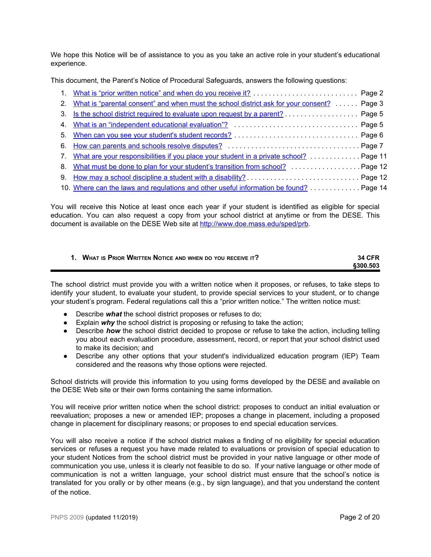We hope this Notice will be of assistance to you as you take an active role in your student's educational experience.

This document, the Parent's Notice of Procedural Safeguards, answers the following questions:

| 2. What is "parental consent" and when must the school district ask for your consent?  Page 3 |  |
|-----------------------------------------------------------------------------------------------|--|
| 3. Is the school district required to evaluate upon request by a parent? Page 5               |  |
|                                                                                               |  |
|                                                                                               |  |
|                                                                                               |  |
| 7. What are your responsibilities if you place your student in a private school? Page 11      |  |
| 8. What must be done to plan for your student's transition from school? Page 12               |  |
|                                                                                               |  |
| 10. Where can the laws and regulations and other useful information be found? Page 14         |  |

You will receive this Notice at least once each year if your student is identified as eligible for special education. You can also request a copy from your school district at anytime or from the DESE. This document is available on the DESE Web site at <http://www.doe.mass.edu/sped/prb>.

<span id="page-1-0"></span>

| 1. WHAT IS PRIOR WRITTEN NOTICE AND WHEN DO YOU RECEIVE IT? | <b>34 CFR</b> |
|-------------------------------------------------------------|---------------|
|                                                             | \$300.503     |

The school district must provide you with a written notice when it proposes, or refuses, to take steps to identify your student, to evaluate your student, to provide special services to your student, or to change your student's program. Federal regulations call this a "prior written notice." The written notice must:

- Describe *what* the school district proposes or refuses to do;
- Explain *why* the school district is proposing or refusing to take the action;
- Describe *how* the school district decided to propose or refuse to take the action, including telling you about each evaluation procedure, assessment, record, or report that your school district used to make its decision; and
- Describe any other options that your student's individualized education program (IEP) Team considered and the reasons why those options were rejected.

School districts will provide this information to you using forms developed by the DESE and available on the DESE Web site or their own forms containing the same information.

You will receive prior written notice when the school district: proposes to conduct an initial evaluation or reevaluation; proposes a new or amended IEP; proposes a change in placement, including a proposed change in placement for disciplinary reasons; or proposes to end special education services*.*

You will also receive a notice if the school district makes a finding of no eligibility for special education services or refuses a request you have made related to evaluations or provision of special education to your student Notices from the school district must be provided in your native language or other mode of communication you use, unless it is clearly not feasible to do so. If your native language or other mode of communication is not a written language, your school district must ensure that the school's notice is translated for you orally or by other means (e.g., by sign language), and that you understand the content of the notice.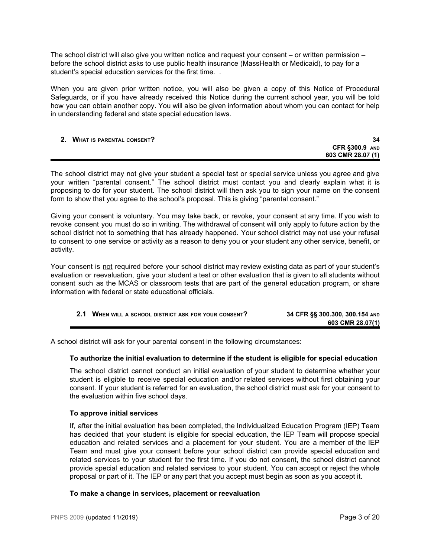The school district will also give you written notice and request your consent – or written permission – before the school district asks to use public health insurance (MassHealth or Medicaid), to pay for a student's special education services for the first time. .

When you are given prior written notice, you will also be given a copy of this Notice of Procedural Safeguards, or if you have already received this Notice during the current school year, you will be told how you can obtain another copy. You will also be given information about whom you can contact for help in understanding federal and state special education laws.

### <span id="page-2-0"></span>**2. WHAT IS PARENTAL CONSENT? 34**

# **CFR §300.9 AND 603 CMR 28.07 (1)**

The school district may not give your student a special test or special service unless you agree and give your written "parental consent." The school district must contact you and clearly explain what it is proposing to do for your student. The school district will then ask you to sign your name on the consent form to show that you agree to the school's proposal. This is giving "parental consent."

Giving your consent is voluntary. You may take back, or revoke, your consent at any time. If you wish to revoke consent you must do so in writing. The withdrawal of consent will only apply to future action by the school district not to something that has already happened. Your school district may not use your refusal to consent to one service or activity as a reason to deny you or your student any other service, benefit, or activity.

Your consent is not required before your school district may review existing data as part of your student's evaluation or reevaluation, give your student a test or other evaluation that is given to all students without consent such as the MCAS or classroom tests that are part of the general education program, or share information with federal or state educational officials.

| 34 CFR §§ 300.300, 300.154 AND |
|--------------------------------|
| 603 CMR 28.07(1)               |

A school district will ask for your parental consent in the following circumstances:

# **To authorize the initial evaluation to determine if the student is eligible for special education**

The school district cannot conduct an initial evaluation of your student to determine whether your student is eligible to receive special education and/or related services without first obtaining your consent. If your student is referred for an evaluation, the school district must ask for your consent to the evaluation within five school days.

# **To approve initial services**

If, after the initial evaluation has been completed, the Individualized Education Program (IEP) Team has decided that your student is eligible for special education, the IEP Team will propose special education and related services and a placement for your student. You are a member of the IEP Team and must give your consent before your school district can provide special education and related services to your student for the first time. If you do not consent, the school district cannot provide special education and related services to your student. You can accept or reject the whole proposal or part of it. The IEP or any part that you accept must begin as soon as you accept it.

# **To make a change in services, placement or reevaluation**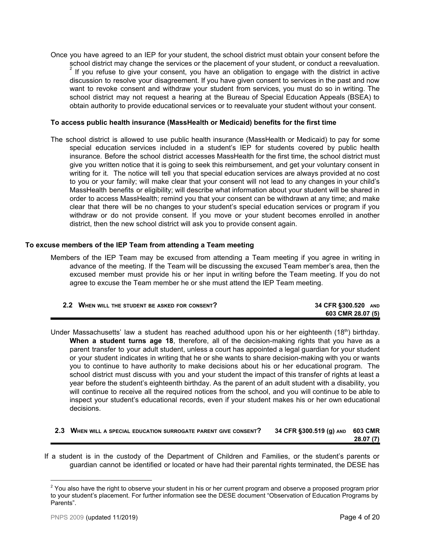Once you have agreed to an IEP for your student, the school district must obtain your consent before the school district may change the services or the placement of your student, or conduct a reevaluation. If you refuse to give your consent, you have an obligation to engage with the district in active 2 discussion to resolve your disagreement. If you have given consent to services in the past and now want to revoke consent and withdraw your student from services, you must do so in writing. The school district may not request a hearing at the Bureau of Special Education Appeals (BSEA) to obtain authority to provide educational services or to reevaluate your student without your consent.

# **To access public health insurance (MassHealth or Medicaid) benefits for the first time**

The school district is allowed to use public health insurance (MassHealth or Medicaid) to pay for some special education services included in a student's IEP for students covered by public health insurance. Before the school district accesses MassHealth for the first time, the school district must give you written notice that it is going to seek this reimbursement, and get your voluntary consent in writing for it. The notice will tell you that special education services are always provided at no cost to you or your family; will make clear that your consent will not lead to any changes in your child's MassHealth benefits or eligibility; will describe what information about your student will be shared in order to access MassHealth; remind you that your consent can be withdrawn at any time; and make clear that there will be no changes to your student's special education services or program if you withdraw or do not provide consent. If you move or your student becomes enrolled in another district, then the new school district will ask you to provide consent again.

## **To excuse members of the IEP Team from attending a Team meeting**

Members of the IEP Team may be excused from attending a Team meeting if you agree in writing in advance of the meeting. If the Team will be discussing the excused Team member's area, then the excused member must provide his or her input in writing before the Team meeting. If you do not agree to excuse the Team member he or she must attend the IEP Team meeting.

| 2.2 WHEN WILL THE STUDENT BE ASKED FOR CONSENT? | 34 CFR §300.520 AND |
|-------------------------------------------------|---------------------|
|                                                 | 603 CMR 28.07 (5)   |

Under Massachusetts' law a student has reached adulthood upon his or her eighteenth (18th) birthday. **When a student turns age 18**, therefore, all of the decision-making rights that you have as a parent transfer to your adult student, unless a court has appointed a legal guardian for your student or your student indicates in writing that he or she wants to share decision-making with you or wants you to continue to have authority to make decisions about his or her educational program. The school district must discuss with you and your student the impact of this transfer of rights at least a year before the student's eighteenth birthday. As the parent of an adult student with a disability, you will continue to receive all the required notices from the school, and you will continue to be able to inspect your student's educational records, even if your student makes his or her own educational decisions.

| 2.3 WHEN WILL A SPECIAL EDUCATION SURROGATE PARENT GIVE CONSENT? | 34 CFR §300.519 (g) AND 603 CMR |          |
|------------------------------------------------------------------|---------------------------------|----------|
|                                                                  |                                 | 28.07(7) |

If a student is in the custody of the Department of Children and Families, or the student's parents or guardian cannot be identified or located or have had their parental rights terminated, the DESE has

<sup>&</sup>lt;sup>2</sup> You also have the right to observe your student in his or her current program and observe a proposed program prior to your student's placement. For further information see the DESE document "Observation of Education Programs by Parents".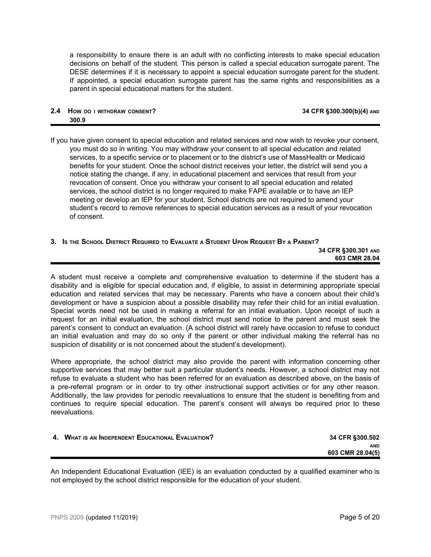a responsibility to ensure there is an adult with no conflicting interests to make special education decisions on behalf of the student. This person is called a special education surrogate parent. The DESE determines if it is necessary to appoint a special education surrogate parent for the student. If appointed, a special education surrogate parent has the same rights and responsibilities as a parent in special educational matters for the student.

# **2.4 HOW DO <sup>I</sup> WITHDRAW CONSENT? 34 CFR §300.300(b)(4) AND 300.9**

If you have given consent to special education and related services and now wish to revoke your consent, you must do so in writing. You may withdraw your consent to all special education and related services, to a specific service or to placement or to the district's use of MassHealth or Medicaid benefits for your student. Once the school district receives your letter, the district will send you a notice stating the change, if any, in educational placement and services that result from your revocation of consent. Once you withdraw your consent to all special education and related services, the school district is no longer required to make FAPE available or to have an IEP meeting or develop an IEP for your student. School districts are not required to amend your student's record to remove references to special education services as a result of your revocation of consent.

# <span id="page-4-0"></span>3. Is the School District Required to Evaluate a Student Upon Request By a Parent?

**34 CFR §300.301 AND 603 CMR 28.04**

A student must receive a complete and comprehensive evaluation to determine if the student has a disability and is eligible for special education and, if eligible, to assist in determining appropriate special education and related services that may be necessary. Parents who have a concern about their child's development or have a suspicion about a possible disability may refer their child for an initial evaluation. Special words need not be used in making a referral for an initial evaluation. Upon receipt of such a request for an initial evaluation, the school district must send notice to the parent and must seek the parent's consent to conduct an evaluation. (A school district will rarely have occasion to refuse to conduct an initial evaluation and may do so only if the parent or other individual making the referral has no suspicion of disability or is not concerned about the student's development).

Where appropriate, the school district may also provide the parent with information concerning other supportive services that may better suit a particular student's needs. However, a school district may not refuse to evaluate a student who has been referred for an evaluation as described above, on the basis of a pre-referral program or in order to try other instructional support activities or for any other reason. Additionally, the law provides for periodic reevaluations to ensure that the student is benefiting from and continues to require special education. The parent's consent will always be required prior to these reevaluations.

<span id="page-4-1"></span>

| 4. WHAT IS AN INDEPENDENT EDUCATIONAL EVALUATION? | 34 CFR §300.502  |
|---------------------------------------------------|------------------|
|                                                   | <b>AND</b>       |
|                                                   | 603 CMR 28.04(5) |
|                                                   |                  |

An Independent Educational Evaluation (IEE) is an evaluation conducted by a qualified examiner who is not employed by the school district responsible for the education of your student.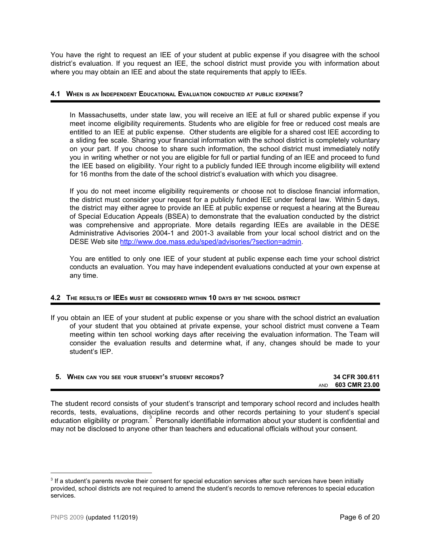You have the right to request an IEE of your student at public expense if you disagree with the school district's evaluation. If you request an IEE, the school district must provide you with information about where you may obtain an IEE and about the state requirements that apply to IEEs.

# **4.1 WHEN IS AN INDEPENDENT EDUCATIONAL EVALUATION CONDUCTED AT PUBLIC EXPENSE?**

In Massachusetts, under state law, you will receive an IEE at full or shared public expense if you meet income eligibility requirements. Students who are eligible for free or reduced cost meals are entitled to an IEE at public expense. Other students are eligible for a shared cost IEE according to a sliding fee scale. Sharing your financial information with the school district is completely voluntary on your part. If you choose to share such information, the school district must immediately notify you in writing whether or not you are eligible for full or partial funding of an IEE and proceed to fund the IEE based on eligibility. Your right to a publicly funded IEE through income eligibility will extend for 16 months from the date of the school district's evaluation with which you disagree.

If you do not meet income eligibility requirements or choose not to disclose financial information, the district must consider your request for a publicly funded IEE under federal law. Within 5 days, the district may either agree to provide an IEE at public expense or request a hearing at the Bureau of Special Education Appeals (BSEA) to demonstrate that the evaluation conducted by the district was comprehensive and appropriate. More details regarding IEEs are available in the DESE Administrative Advisories 2004-1 and 2001-3 available from your local school district and on the DESE Web site <http://www.doe.mass.edu/sped/advisories/?section=admin>.

You are entitled to only one IEE of your student at public expense each time your school district conducts an evaluation. You may have independent evaluations conducted at your own expense at any time.

# **4.2 THE RESULTS OF IEE<sup>S</sup> MUST BE CONSIDERED WITHIN 10 DAYS BY THE SCHOOL DISTRICT**

If you obtain an IEE of your student at public expense or you share with the school district an evaluation of your student that you obtained at private expense, your school district must convene a Team meeting within ten school working days after receiving the evaluation information. The Team will consider the evaluation results and determine what, if any, changes should be made to your student's IEP.

<span id="page-5-0"></span>

| WHEN CAN YOU SEE YOUR STUDENT'S STUDENT RECORDS? | 34 CFR 300.611    |
|--------------------------------------------------|-------------------|
|                                                  | AND 603 CMR 23.00 |

The student record consists of your student's transcript and temporary school record and includes health records, tests, evaluations, discipline records and other records pertaining to your student's special education eligibility or program. $3$  Personally identifiable information about your student is confidential and may not be disclosed to anyone other than teachers and educational officials without your consent.

<sup>&</sup>lt;sup>3</sup> If a student's parents revoke their consent for special education services after such services have been initially provided, school districts are not required to amend the student's records to remove references to special education services.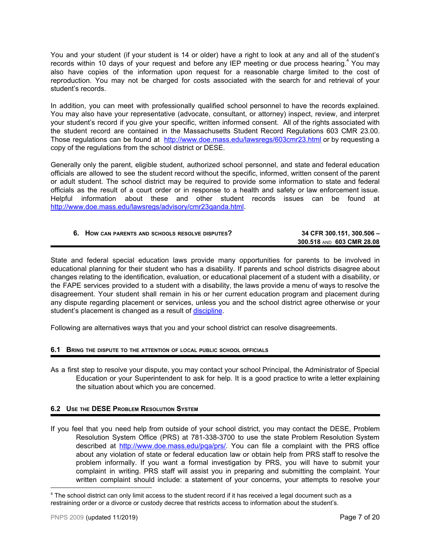You and your student (if your student is 14 or older) have a right to look at any and all of the student's records within 10 days of your request and before any IEP meeting or due process hearing.<sup>4</sup> You may also have copies of the information upon request for a reasonable charge limited to the cost of reproduction. You may not be charged for costs associated with the search for and retrieval of your student's records.

In addition, you can meet with professionally qualified school personnel to have the records explained. You may also have your representative (advocate, consultant, or attorney) inspect, review, and interpret your student's record if you give your specific, written informed consent. All of the rights associated with the student record are contained in the Massachusetts Student Record Regulations 603 CMR 23.00. Those regulations can be found at <http://www.doe.mass.edu/lawsregs/603cmr23.html> or by requesting a copy of the regulations from the school district or DESE.

Generally only the parent, eligible student, authorized school personnel, and state and federal education officials are allowed to see the student record without the specific, informed, written consent of the parent or adult student. The school district may be required to provide some information to state and federal officials as the result of a court order or in response to a health and safety or law enforcement issue. Helpful information about these and other student records issues can be found at <http://www.doe.mass.edu/lawsregs/advisory/cmr23qanda.html>.

<span id="page-6-0"></span>

| 6. HOW CAN PARENTS AND SCHOOLS RESOLVE DISPUTES? | 34 CFR 300.151, 300.506 - |
|--------------------------------------------------|---------------------------|
|                                                  | 300.518 AND 603 CMR 28.08 |

State and federal special education laws provide many opportunities for parents to be involved in educational planning for their student who has a disability. If parents and school districts disagree about changes relating to the identification, evaluation, or educational placement of a student with a disability, or the FAPE services provided to a student with a disability, the laws provide a menu of ways to resolve the disagreement. Your student shall remain in his or her current education program and placement during any dispute regarding placement or services, unless you and the school district agree otherwise or your student's placement is changed as a result of [discipline.](#page-14-0)

Following are alternatives ways that you and your school district can resolve disagreements.

# **6.1 BRING THE DISPUTE TO THE ATTENTION OF LOCAL PUBLIC SCHOOL OFFICIALS**

As a first step to resolve your dispute, you may contact your school Principal, the Administrator of Special Education or your Superintendent to ask for help. It is a good practice to write a letter explaining the situation about which you are concerned.

# **6.2 USE THE DESE PROBLEM RESOLUTION SYSTEM**

If you feel that you need help from outside of your school district, you may contact the DESE, Problem Resolution System Office (PRS) at 781-338-3700 to use the state Problem Resolution System described at [http://www.doe.mass.edu/pqa/prs/.](http://www.doe.mass.edu/pqa/prs/) You can file a complaint with the PRS office about any violation of state or federal education law or obtain help from PRS staff to resolve the problem informally. If you want a formal investigation by PRS, you will have to submit your complaint in writing. PRS staff will assist you in preparing and submitting the complaint. Your written complaint should include: a statement of your concerns, your attempts to resolve your

<sup>4</sup> The school district can only limit access to the student record if it has received a legal document such as a restraining order or a divorce or custody decree that restricts access to information about the student's.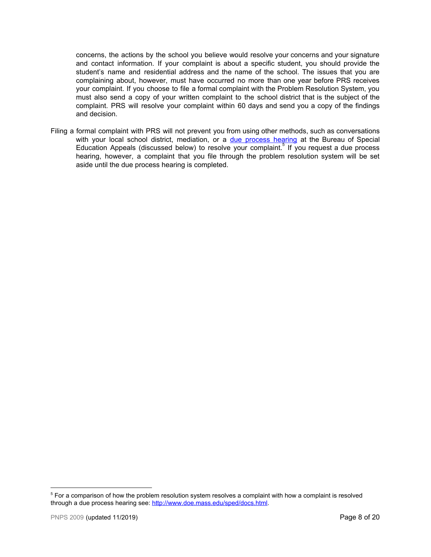concerns, the actions by the school you believe would resolve your concerns and your signature and contact information. If your complaint is about a specific student, you should provide the student's name and residential address and the name of the school. The issues that you are complaining about, however, must have occurred no more than one year before PRS receives your complaint. If you choose to file a formal complaint with the Problem Resolution System, you must also send a copy of your written complaint to the school district that is the subject of the complaint. PRS will resolve your complaint within 60 days and send you a copy of the findings and decision.

<span id="page-7-0"></span>Filing a formal complaint with PRS will not prevent you from using other methods, such as conversations with your local school district, mediation, or a due [process](#page-8-0) hearing at the Bureau of Special Education Appeals (discussed below) to resolve your complaint.<sup>5</sup> If you request a due process hearing, however, a complaint that you file through the problem resolution system will be set aside until the due process hearing is completed.

<sup>&</sup>lt;sup>5</sup> For a comparison of how the problem resolution system resolves a complaint with how a complaint is resolved through a due process hearing see:<http://www.doe.mass.edu/sped/docs.html>.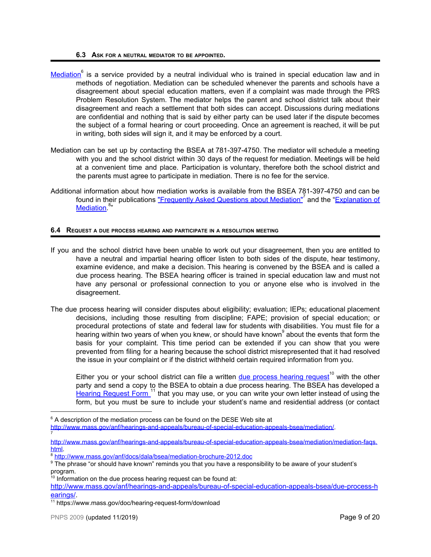### **6.3 ASK FOR <sup>A</sup> NEUTRAL MEDIATOR TO BE APPOINTED.**

- [Mediation](http://www.mass.gov/anf/hearings-and-appeals/bureau-of-special-education-appeals-bsea/mediation/) is a service provided by a neutral individual who is trained in special education law and in methods of negotiation. Mediation can be scheduled whenever the parents and schools have a disagreement about special education matters, even if a complaint was made through the PRS Problem Resolution System. The mediator helps the parent and school district talk about their disagreement and reach a settlement that both sides can accept. Discussions during mediations are confidential and nothing that is said by either party can be used later if the dispute becomes the subject of a formal hearing or court proceeding. Once an agreement is reached, it will be put in writing, both sides will sign it, and it may be enforced by a court.
- Mediation can be set up by contacting the BSEA at 781-397-4750. The mediator will schedule a meeting with you and the school district within 30 days of the request for mediation. Meetings will be held at a convenient time and place. Participation is voluntary, therefore both the school district and the parents must agree to participate in mediation. There is no fee for the service.
- Additional information about how mediation works is available from the BSEA 781-397-4750 and can be found in their publications <u>["Frequently](http://www.mass.gov/anf/hearings-and-appeals/bureau-of-special-education-appeals-bsea/mediation/mediation-faqs.html) Asked Questions about Mediation"</u><sup>7</sup> and the "<u>Explanation of</u> [Mediation.](http://www.mass.gov/anf/docs/dala/bsea/mediation-brochure-2012.doc)<sup>8</sup>"

# <span id="page-8-0"></span>**6.4 REQUEST <sup>A</sup> DUE PROCESS HEARING AND PARTICIPATE IN <sup>A</sup> RESOLUTION MEETING**

- If you and the school district have been unable to work out your disagreement, then you are entitled to have a neutral and impartial hearing officer listen to both sides of the dispute, hear testimony, examine evidence, and make a decision. This hearing is convened by the BSEA and is called a due process hearing. The BSEA hearing officer is trained in special education law and must not have any personal or professional connection to you or anyone else who is involved in the disagreement.
- The due process hearing will consider disputes about eligibility; evaluation; IEPs; educational placement decisions, including those resulting from discipline; FAPE; provision of special education; or procedural protections of state and federal law for students with disabilities. You must file for a hearing within two years of when you knew, or should have known $^{\circ}$  about the events that form the basis for your complaint. This time period can be extended if you can show that you were prevented from filing for a hearing because the school district misrepresented that it had resolved the issue in your complaint or if the district withheld certain required information from you.

Either you or your school district can file a written **due [process](http://www.mass.gov/anf/hearings-and-appeals/bureau-of-special-education-appeals-bsea/due-process-hearings/) hearing request<sup>10</sup> with the other** party and send a copy to the BSEA to obtain a due process hearing. The BSEA has developed a Hearing [Request](https://www.mass.gov/doc/hearing-request-form/download) Form 11 that you may use, or you can write your own letter instead of using the form, but you must be sure to include your student's name and residential address (or contact

7

 $6$  A description of the mediation process can be found on the DESE Web site at

[http://www.mass.gov/anf/hearings-and-appeals/bureau-of-special-education-appeals-bsea/mediation/.](http://www.mass.gov/anf/hearings-and-appeals/bureau-of-special-education-appeals-bsea/mediation/)

[http://www.mass.gov/anf/hearings-and-appeals/bureau-of-special-education-appeals-bsea/mediation/mediation-faqs.](http://www.mass.gov/anf/hearings-and-appeals/bureau-of-special-education-appeals-bsea/mediation/mediation-faqs.html) [html](http://www.mass.gov/anf/hearings-and-appeals/bureau-of-special-education-appeals-bsea/mediation/mediation-faqs.html).

<sup>8</sup> <http://www.mass.gov/anf/docs/dala/bsea/mediation-brochure-2012.doc>

<sup>&</sup>lt;sup>9</sup> The phrase "or should have known" reminds you that you have a responsibility to be aware of your student's program. 10 Information on the due process hearing request can be found at:

[http://www.mass.gov/anf/hearings-and-appeals/bureau-of-special-education-appeals-bsea/due-process-h](http://www.mass.gov/anf/hearings-and-appeals/bureau-of-special-education-appeals-bsea/due-process-hearings/) [earings/](http://www.mass.gov/anf/hearings-and-appeals/bureau-of-special-education-appeals-bsea/due-process-hearings/).

<sup>&</sup>lt;sup>11</sup> https://www.mass.gov/doc/hearing-request-form/download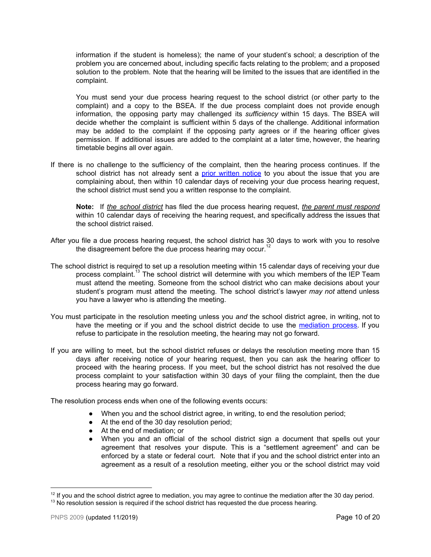information if the student is homeless); the name of your student's school; a description of the problem you are concerned about, including specific facts relating to the problem; and a proposed solution to the problem. Note that the hearing will be limited to the issues that are identified in the complaint.

You must send your due process hearing request to the school district (or other party to the complaint) and a copy to the BSEA. If the due process complaint does not provide enough information, the opposing party may challenged its *sufficiency* within 15 days. The BSEA will decide whether the complaint is sufficient within 5 days of the challenge. Additional information may be added to the complaint if the opposing party agrees or if the hearing officer gives permission. If additional issues are added to the complaint at a later time, however, the hearing timetable begins all over again.

If there is no challenge to the sufficiency of the complaint, then the hearing process continues. If the school district has not already sent a prior [written](#page-1-0) notice to you about the issue that you are complaining about, then within 10 calendar days of receiving your due process hearing request, the school district must send you a written response to the complaint.

**Note:** If *the school district* has filed the due process hearing request, *the parent must respond* within 10 calendar days of receiving the hearing request, and specifically address the issues that the school district raised.

- After you file a due process hearing request, the school district has 30 days to work with you to resolve the disagreement before the due process hearing may occur.<sup>12</sup>
- The school district is required to set up a resolution meeting within 15 calendar days of receiving your due process complaint.<sup>13</sup> The school district will determine with you which members of the IEP Team must attend the meeting. Someone from the school district who can make decisions about your student's program must attend the meeting. The school district's lawyer *may not* attend unless you have a lawyer who is attending the meeting.
- You must participate in the resolution meeting unless you *and* the school district agree, in writing, not to have the meeting or if you and the school district decide to use the [mediation](#page-7-0) process. If you refuse to participate in the resolution meeting, the hearing may not go forward.
- If you are willing to meet, but the school district refuses or delays the resolution meeting more than 15 days after receiving notice of your hearing request, then you can ask the hearing officer to proceed with the hearing process. If you meet, but the school district has not resolved the due process complaint to your satisfaction within 30 days of your filing the complaint, then the due process hearing may go forward.

The resolution process ends when one of the following events occurs:

- When you and the school district agree, in writing, to end the resolution period;
- At the end of the 30 day resolution period;
- At the end of mediation; or
- **●** When you and an official of the school district sign a document that spells out your agreement that resolves your dispute. This is a "settlement agreement" and can be enforced by a state or federal court. Note that if you and the school district enter into an agreement as a result of a resolution meeting, either you or the school district may void

 $12$  If you and the school district agree to mediation, you may agree to continue the mediation after the 30 day period.

 $13$  No resolution session is required if the school district has requested the due process hearing.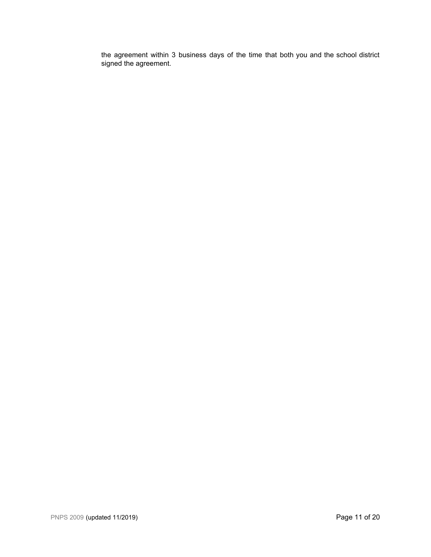the agreement within 3 business days of the time that both you and the school district signed the agreement.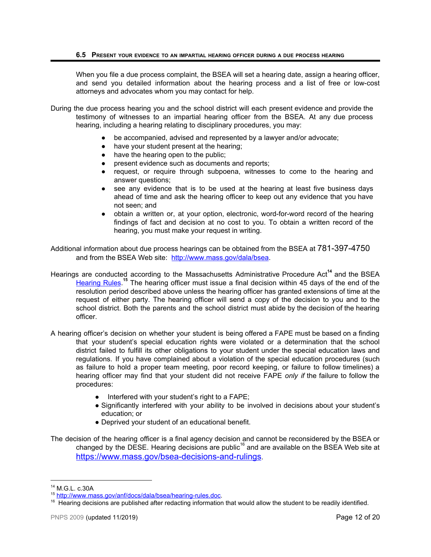When you file a due process complaint, the BSEA will set a hearing date, assign a hearing officer, and send you detailed information about the hearing process and a list of free or low-cost attorneys and advocates whom you may contact for help.

- During the due process hearing you and the school district will each present evidence and provide the testimony of witnesses to an impartial hearing officer from the BSEA. At any due process hearing, including a hearing relating to disciplinary procedures, you may:
	- be accompanied, advised and represented by a lawyer and/or advocate;
	- have your student present at the hearing;
	- have the hearing open to the public;
	- present evidence such as documents and reports;
	- request, or require through subpoena, witnesses to come to the hearing and answer questions;
	- see any evidence that is to be used at the hearing at least five business days ahead of time and ask the hearing officer to keep out any evidence that you have not seen; and
	- obtain a written or, at your option, electronic, word-for-word record of the hearing findings of fact and decision at no cost to you. To obtain a written record of the hearing, you must make your request in writing.

Additional information about due process hearings can be obtained from the BSEA at 781-397-4750 and from the BSEA Web site: [http://www.mass.gov/dala/bsea.](http://www.mass.gov/dala/bsea)

- Hearings are conducted according to the Massachusetts Administrative Procedure Act<sup>14</sup> and the BSEA [Hearing](http://www.mass.gov/anf/docs/dala/bsea/hearing-rules.doc) Rules.<sup>15</sup> The hearing officer must issue a final decision within 45 days of the end of the resolution period described above unless the hearing officer has granted extensions of time at the request of either party. The hearing officer will send a copy of the decision to you and to the school district. Both the parents and the school district must abide by the decision of the hearing officer.
- A hearing officer's decision on whether your student is being offered a FAPE must be based on a finding that your student's special education rights were violated or a determination that the school district failed to fulfill its other obligations to your student under the special education laws and regulations. If you have complained about a violation of the special education procedures (such as failure to hold a proper team meeting, poor record keeping, or failure to follow timelines) a hearing officer may find that your student did not receive FAPE *only if* the failure to follow the procedures:
	- Interfered with your student's right to a FAPE;
	- Significantly interfered with your ability to be involved in decisions about your student's education; or
	- Deprived your student of an educational benefit.

The decision of the hearing officer is a final agency decision and cannot be reconsidered by the BSEA or changed by the DESE. Hearing decisions are public<sup>16</sup> and are available on the BSEA Web site at <https://www.mass.gov/bsea-decisions-and-rulings>.

<sup>14</sup> M.G.L. c.30A

<sup>15</sup> [http://www.mass.gov/anf/docs/dala/bsea/hearing-rules.doc.](http://www.mass.gov/anf/docs/dala/bsea/hearing-rules.doc)

<sup>&</sup>lt;sup>16</sup> Hearing decisions are published after redacting information that would allow the student to be readily identified.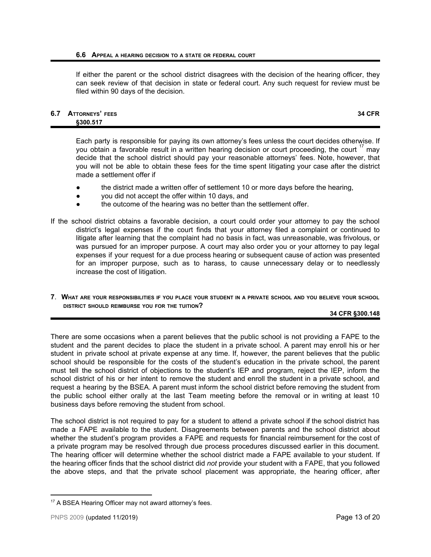### **6.6 APPEAL <sup>A</sup> HEARING DECISION TO <sup>A</sup> STATE OR FEDERAL COURT**

If either the parent or the school district disagrees with the decision of the hearing officer, they can seek review of that decision in state or federal court. Any such request for review must be filed within 90 days of the decision.

### **6.7 ATTORNEYS' FEES 34 CFR §300.517**

Each party is responsible for paying its own attorney's fees unless the court decides otherwise. If you obtain a favorable result in a written hearing decision or court proceeding, the court  $17$  may decide that the school district should pay your reasonable attorneys' fees. Note, however, that you will not be able to obtain these fees for the time spent litigating your case after the district made a settlement offer if

- the district made a written offer of settlement 10 or more days before the hearing,
- you did not accept the offer within 10 days, and
- the outcome of the hearing was no better than the settlement offer.
- If the school district obtains a favorable decision, a court could order your attorney to pay the school district's legal expenses if the court finds that your attorney filed a complaint or continued to litigate after learning that the complaint had no basis in fact, was unreasonable, was frivolous, or was pursued for an improper purpose. A court may also order you or your attorney to pay legal expenses if your request for a due process hearing or subsequent cause of action was presented for an improper purpose, such as to harass, to cause unnecessary delay or to needlessly increase the cost of litigation.
- <span id="page-12-0"></span>7. WHAT ARE YOUR RESPONSIBILITIES IF YOU PLACE YOUR STUDENT IN A PRIVATE SCHOOL AND YOU BELIEVE YOUR SCHOOL **DISTRICT SHOULD REIMBURSE YOU FOR THE TUITION?**

# **34 CFR §300.148**

There are some occasions when a parent believes that the public school is not providing a FAPE to the student and the parent decides to place the student in a private school. A parent may enroll his or her student in private school at private expense at any time. If, however, the parent believes that the public school should be responsible for the costs of the student's education in the private school, the parent must tell the school district of objections to the student's IEP and program, reject the IEP, inform the school district of his or her intent to remove the student and enroll the student in a private school, and request a hearing by the BSEA. A parent must inform the school district before removing the student from the public school either orally at the last Team meeting before the removal or in writing at least 10 business days before removing the student from school.

The school district is not required to pay for a student to attend a private school if the school district has made a FAPE available to the student. Disagreements between parents and the school district about whether the student's program provides a FAPE and requests for financial reimbursement for the cost of a private program may be resolved through due process procedures discussed earlier in this document. The hearing officer will determine whether the school district made a FAPE available to your student. If the hearing officer finds that the school district did *not* provide your student with a FAPE, that you followed the above steps, and that the private school placement was appropriate, the hearing officer, after

<sup>&</sup>lt;sup>17</sup> A BSEA Hearing Officer may not award attorney's fees.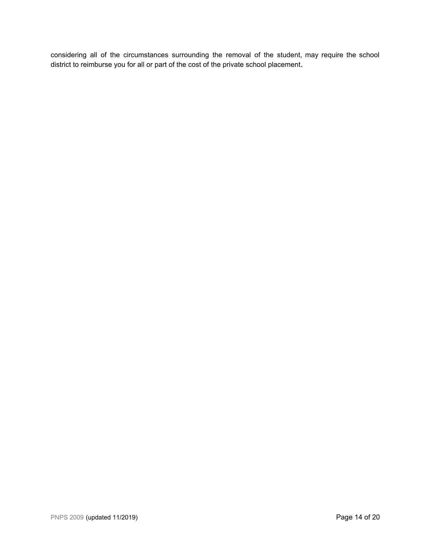<span id="page-13-0"></span>considering all of the circumstances surrounding the removal of the student, may require the school district to reimburse you for all or part of the cost of the private school placement.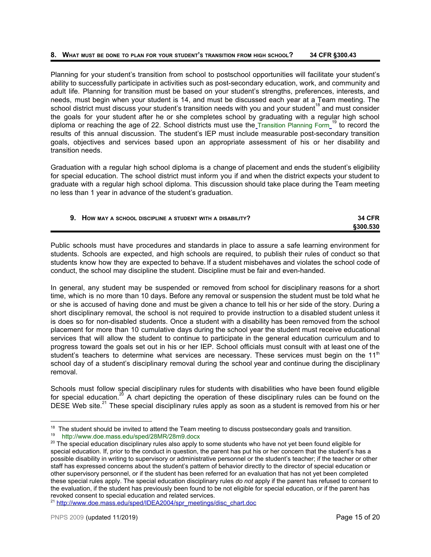### **8. WHAT MUST BE DONE TO PLAN FOR YOUR STUDENT'<sup>S</sup> TRANSITION FROM HIGH SCHOOL? 34 CFR §300.43**

Planning for your student's transition from school to postschool opportunities will facilitate your student's ability to successfully participate in activities such as post-secondary education, work, and community and adult life. Planning for transition must be based on your student's strengths, preferences, interests, and needs, must begin when your student is 14, and must be discussed each year at a Team meeting. The school district must discuss your student's transition needs with you and your student<sup>18</sup> and must consider the goals for your student after he or she completes school by graduating with a regular high school diploma or reaching the age of 22. School districts must use the [Transition](http://www.doe.mass.edu/sped/28MR/28m9.docx) Planning Form <sup>19</sup> to record the results of this annual discussion. The student's IEP must include measurable post-secondary transition goals, objectives and services based upon an appropriate assessment of his or her disability and transition needs.

Graduation with a regular high school diploma is a change of placement and ends the student's eligibility for special education. The school district must inform you if and when the district expects your student to graduate with a regular high school diploma. This discussion should take place during the Team meeting no less than 1 year in advance of the student's graduation.

<span id="page-14-0"></span>

| HOW MAY A SCHOOL DISCIPLINE A STUDENT WITH A DISABILITY? | <b>34 CFR</b>   |
|----------------------------------------------------------|-----------------|
|                                                          | <b>§300.530</b> |

Public schools must have procedures and standards in place to assure a safe learning environment for students. Schools are expected, and high schools are required, to publish their rules of conduct so that students know how they are expected to behave. If a student misbehaves and violates the school code of conduct, the school may discipline the student. Discipline must be fair and even-handed.

In general, any student may be suspended or removed from school for disciplinary reasons for a short time, which is no more than 10 days. Before any removal or suspension the student must be told what he or she is accused of having done and must be given a chance to tell his or her side of the story. During a short disciplinary removal, the school is not required to provide instruction to a disabled student unless it is does so for non-disabled students. Once a student with a disability has been removed from the school placement for more than 10 cumulative days during the school year the student must receive educational services that will allow the student to continue to participate in the general education curriculum and to progress toward the goals set out in his or her IEP. School officials must consult with at least one of the student's teachers to determine what services are necessary. These services must begin on the 11<sup>th</sup> school day of a student's disciplinary removal during the school year and continue during the disciplinary removal.

Schools must follow special disciplinary rules for students with disabilities who have been found eligible for special education.<sup>20</sup> A chart depicting the operation of these disciplinary rules can be found on the DESE Web site. $^{21}$  These special disciplinary rules apply as soon as a student is removed from his or her

<sup>&</sup>lt;sup>18</sup> The student should be invited to attend the Team meeting to discuss postsecondary goals and transition.

<sup>19</sup> <http://www.doe.mass.edu/sped/28MR/28m9.docx>

 $^{20}$  The special education disciplinary rules also apply to some students who have not yet been found eligible for special education. If, prior to the conduct in question, the parent has put his or her concern that the student's has a possible disability in writing to supervisory or administrative personnel or the student's teacher; if the teacher or other staff has expressed concerns about the student's pattern of behavior directly to the director of special education or other supervisory personnel, or if the student has been referred for an evaluation that has not yet been completed these special rules apply. The special education disciplinary rules *do not* apply if the parent has refused to consent to the evaluation, if the student has previously been found to be not eligible for special education, or if the parent has revoked consent to special education and related services.

<sup>&</sup>lt;sup>21</sup> [http://www.doe.mass.edu/sped/IDEA2004/spr\\_meetings/disc\\_chart.doc](http://www.doe.mass.edu/sped/IDEA2004/spr_meetings/disc_chart.doc)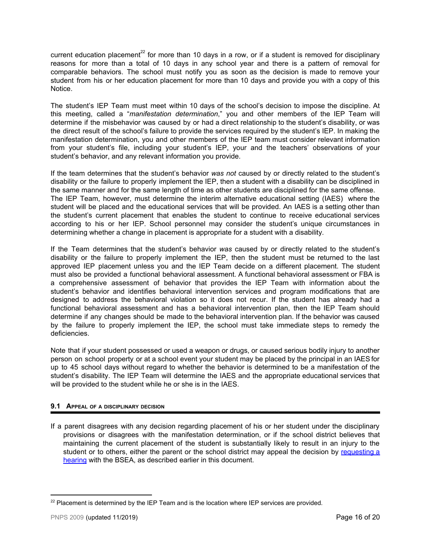current education placement<sup>22</sup> for more than 10 days in a row, or if a student is removed for disciplinary reasons for more than a total of 10 days in any school year and there is a pattern of removal for comparable behaviors. The school must notify you as soon as the decision is made to remove your student from his or her education placement for more than 10 days and provide you with a copy of this Notice.

The student's IEP Team must meet within 10 days of the school's decision to impose the discipline. At this meeting, called a "*manifestation determination*," you and other members of the IEP Team will determine if the misbehavior was caused by or had a direct relationship to the student's disability, or was the direct result of the school's failure to provide the services required by the student's IEP. In making the manifestation determination, you and other members of the IEP team must consider relevant information from your student's file, including your student's IEP, your and the teachers' observations of your student's behavior, and any relevant information you provide.

If the team determines that the student's behavior *was not* caused by or directly related to the student's disability or the failure to properly implement the IEP, then a student with a disability can be disciplined in the same manner and for the same length of time as other students are disciplined for the same offense. The IEP Team, however, must determine the interim alternative educational setting (IAES) where the student will be placed and the educational services that will be provided. An IAES is a setting other than the student's current placement that enables the student to continue to receive educational services according to his or her IEP. School personnel may consider the student's unique circumstances in determining whether a change in placement is appropriate for a student with a disability.

If the Team determines that the student's behavior *was* caused by or directly related to the student's disability or the failure to properly implement the IEP, then the student must be returned to the last approved IEP placement unless you and the IEP Team decide on a different placement. The student must also be provided a functional behavioral assessment. A functional behavioral assessment or FBA is a comprehensive assessment of behavior that provides the IEP Team with information about the student's behavior and identifies behavioral intervention services and program modifications that are designed to address the behavioral violation so it does not recur. If the student has already had a functional behavioral assessment and has a behavioral intervention plan, then the IEP Team should determine if any changes should be made to the behavioral intervention plan. If the behavior was caused by the failure to properly implement the IEP, the school must take immediate steps to remedy the deficiencies.

Note that if your student possessed or used a weapon or drugs, or caused serious bodily injury to another person on school property or at a school event your student may be placed by the principal in an IAES for up to 45 school days without regard to whether the behavior is determined to be a manifestation of the student's disability. The IEP Team will determine the IAES and the appropriate educational services that will be provided to the student while he or she is in the IAES.

# **9.1 APPEAL OF <sup>A</sup> DISCIPLINARY DECISION**

If a parent disagrees with any decision regarding placement of his or her student under the disciplinary provisions or disagrees with the manifestation determination, or if the school district believes that maintaining the current placement of the student is substantially likely to result in an injury to the student or to others, either the parent or the school district may appeal the decision by [requesting](#page-8-0) a [hearing](#page-8-0) with the BSEA, as described earlier in this document.

 $22$  Placement is determined by the IEP Team and is the location where IEP services are provided.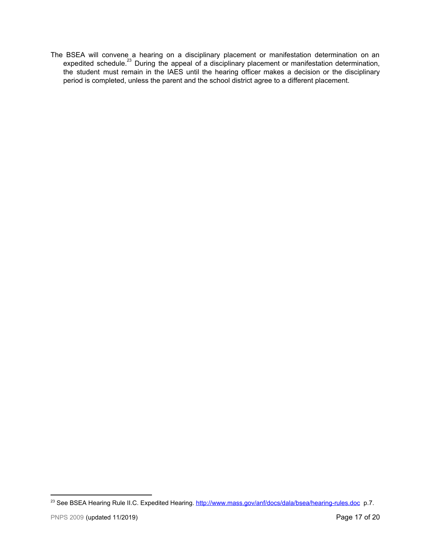<span id="page-16-0"></span>The BSEA will convene a hearing on a disciplinary placement or manifestation determination on an expedited schedule.<sup>23</sup> During the appeal of a disciplinary placement or manifestation determination, the student must remain in the IAES until the hearing officer makes a decision or the disciplinary period is completed, unless the parent and the school district agree to a different placement.

<sup>&</sup>lt;sup>23</sup> See BSEA Hearing Rule II.C. Expedited Hearing.<http://www.mass.gov/anf/docs/dala/bsea/hearing-rules.doc>p.7.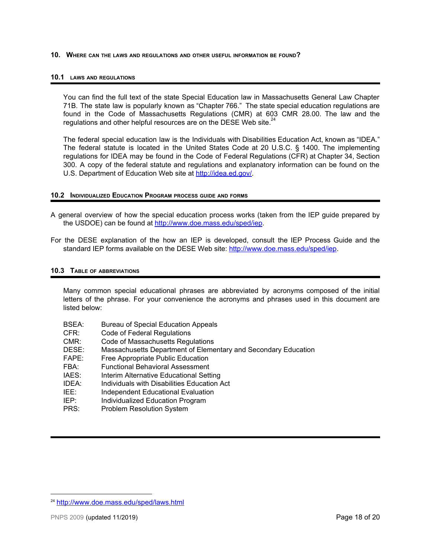**10. WHERE CAN THE LAWS AND REGULATIONS AND OTHER USEFUL INFORMATION BE FOUND?**

## **10.1 LAWS AND REGULATIONS**

You can find the full text of the state Special Education law in Massachusetts General Law Chapter 71B. The state law is popularly known as "Chapter 766." The state special education regulations are found in the Code of Massachusetts Regulations (CMR) at 603 CMR 28.00. The law and the regulations and other helpful resources are on the DESE Web site. $^{24}$ 

The federal special education law is the Individuals with Disabilities Education Act, known as "IDEA." The federal statute is located in the United States Code at 20 U.S.C. § 1400. The implementing regulations for IDEA may be found in the Code of Federal Regulations (CFR) at Chapter 34, Section 300. A copy of the federal statute and regulations and explanatory information can be found on the U.S. Department of Education Web site at [http://idea.ed.gov/.](http://idea.ed.gov/)

# <span id="page-17-0"></span>**10.2 INDIVIDUALIZED EDUCATION PROGRAM PROCESS GUIDE AND FORMS**

- A general overview of how the special education process works (taken from the IEP guide prepared by the USDOE) can be found at [http://www.doe.mass.edu/sped/iep.](http://www.doe.mass.edu/sped/iep)
- For the DESE explanation of the how an IEP is developed, consult the IEP Process Guide and the standard IEP forms available on the DESE Web site: <http://www.doe.mass.edu/sped/iep>.

# **10.3 TABLE OF ABBREVIATIONS**

Many common special educational phrases are abbreviated by acronyms composed of the initial letters of the phrase. For your convenience the acronyms and phrases used in this document are listed below:

- BSEA: Bureau of Special Education Appeals
- CFR: Code of Federal Regulations
- CMR: Code of Massachusetts Regulations
- DESE: Massachusetts Department of Elementary and Secondary Education
- FAPE: Free Appropriate Public Education<br>FRA: Functional Behavioral Assessment
- Functional Behavioral Assessment
- IAES: Interim Alternative Educational Setting
- IDEA: Individuals with Disabilities Education Act
- IEE: Independent Educational Evaluation
- IEP: Individualized Education Program
- <span id="page-17-1"></span>PRS: Problem Resolution System

<sup>24</sup> <http://www.doe.mass.edu/sped/laws.html>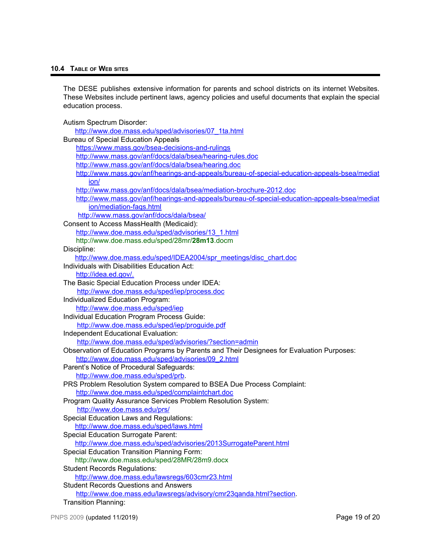# **10.4 TABLE OF WEB SITES**

The DESE publishes extensive information for parents and school districts on its internet Websites. These Websites include pertinent laws, agency policies and useful documents that explain the special education process.

Autism Spectrum Disorder:

| http://www.doe.mass.edu/sped/advisories/07 1ta.html                                          |
|----------------------------------------------------------------------------------------------|
| <b>Bureau of Special Education Appeals</b>                                                   |
| https://www.mass.gov/bsea-decisions-and-rulings                                              |
| http://www.mass.gov/anf/docs/dala/bsea/hearing-rules.doc                                     |
| http://www.mass.gov/anf/docs/dala/bsea/hearing.doc                                           |
| http://www.mass.gov/anf/hearings-and-appeals/bureau-of-special-education-appeals-bsea/mediat |
| ion/                                                                                         |
| http://www.mass.gov/anf/docs/dala/bsea/mediation-brochure-2012.doc                           |
| http://www.mass.gov/anf/hearings-and-appeals/bureau-of-special-education-appeals-bsea/mediat |
| jon/mediation-fags.html                                                                      |
| http://www.mass.gov/anf/docs/dala/bsea/                                                      |
| Consent to Access MassHealth (Medicaid):                                                     |
| http://www.doe.mass.edu/sped/advisories/13 1.html                                            |
| http://www.doe.mass.edu/sped/28mr/28m13.docm                                                 |
| Discipline:                                                                                  |
| http://www.doe.mass.edu/sped/IDEA2004/spr_meetings/disc_chart.doc                            |
| Individuals with Disabilities Education Act:                                                 |
| http://idea.ed.gov/.                                                                         |
| The Basic Special Education Process under IDEA:                                              |
| http://www.doe.mass.edu/sped/iep/process.doc                                                 |
| Individualized Education Program:                                                            |
| http://www.doe.mass.edu/sped/iep                                                             |
| Individual Education Program Process Guide:                                                  |
| http://www.doe.mass.edu/sped/iep/proquide.pdf                                                |
| Independent Educational Evaluation:                                                          |
| http://www.doe.mass.edu/sped/advisories/?section=admin                                       |
| Observation of Education Programs by Parents and Their Designees for Evaluation Purposes:    |
| http://www.doe.mass.edu/sped/advisories/09 2.html                                            |
| Parent's Notice of Procedural Safeguards:                                                    |
| http://www.doe.mass.edu/sped/prb.                                                            |
| PRS Problem Resolution System compared to BSEA Due Process Complaint:                        |
| http://www.doe.mass.edu/sped/complaintchart.doc                                              |
| Program Quality Assurance Services Problem Resolution System:                                |
| http://www.doe.mass.edu/prs/                                                                 |
| Special Education Laws and Regulations:                                                      |
| http://www.doe.mass.edu/sped/laws.html                                                       |
| <b>Special Education Surrogate Parent:</b>                                                   |
| http://www.doe.mass.edu/sped/advisories/2013SurrogateParent.html                             |
| Special Education Transition Planning Form:                                                  |
| http://www.doe.mass.edu/sped/28MR/28m9.docx                                                  |
| <b>Student Records Regulations:</b>                                                          |
| http://www.doe.mass.edu/lawsregs/603cmr23.html                                               |
| <b>Student Records Questions and Answers</b>                                                 |
| http://www.doe.mass.edu/lawsregs/advisory/cmr23qanda.html?section.                           |
| <b>Transition Planning:</b>                                                                  |